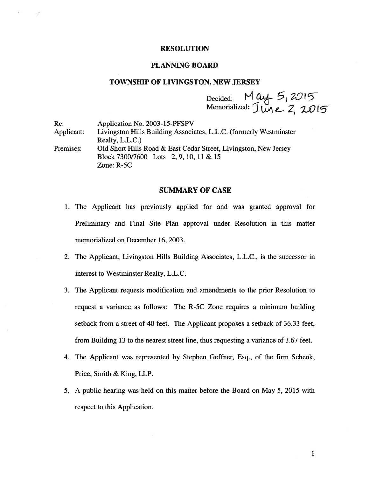#### RESOLUTION

# PLANNING BOARD

## TOWNSHIP OF LIVINGSTON, NEW JERSEY

Decided:  $M$  as Memorialized:  $J$  line  $2, 20$ 

| Re:        | Application No. 2003-15-PFSPV                                       |
|------------|---------------------------------------------------------------------|
| Applicant: | Livingston Hills Building Associates, L.L.C. (formerly Westminster) |
|            | Realty, L.L.C.                                                      |
| Premises:  | Old Short Hills Road & East Cedar Street, Livingston, New Jersey    |
|            | Block 7300/7600 Lots 2, 9, 10, 11 & 15                              |
|            | Zone: $R-5C$                                                        |

# SUMMARY OF CASE

- 1. The Applicant has previously applied for and was granted approval for Preliminary and Final Site Plan approval under Resolution in this matter memorialized on December 16, 2003.
- 2. The Applicant, Livingston Hills Building Associates, L.L.C., is the successor in interest to Westminster Realty, L.L.C.
- 3. The Applicant requests modification and amendments to the prior Resolution to reques<sup>t</sup> <sup>a</sup> variance as follows: The R-5C Zone requires <sup>a</sup> minimum building setback from <sup>a</sup> street of 40 feet. The Applicant proposes <sup>a</sup> setback of 36.33 feet, from Building 13 to the nearest street line, thus requesting <sup>a</sup> variance of 3.67 feet.
- 4. The Applicant was represented by Stephen Geffner, Esq., of the firm Schenk, Price, Smith & King, LLP.
- 5. A public hearing was held on this matter before the Board on May 5, 2015 with respec<sup>t</sup> to this Application.

1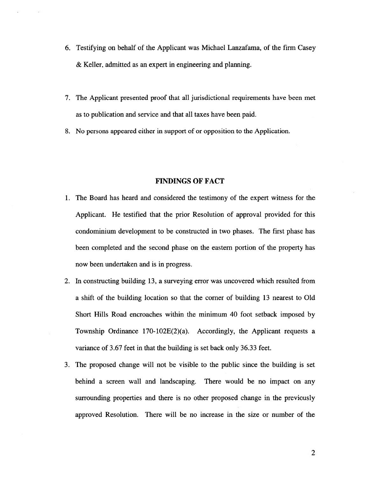- 6. Testifying on behalf of the Applicant was Michael Lanzafama, of the firm Casey & Keller, admitted as an exper<sup>t</sup> in engineering and planning.
- 7. The Applicant presented proof that all jurisdictional requirements have been met as to publication and service and that all taxes have been paid.
- 8. No persons appeared either in suppor<sup>t</sup> of or opposition to the Application.

#### FINDINGS OF FACT

- 1. The Board has heard and considered the testimony of the exper<sup>t</sup> witness for the Applicant. He testified that the prior Resolution of approval provided for this condominium development to be constructed in two phases. The first phase has been completed and the second phase on the eastern portion of the property has now been undertaken and is in progress.
- 2. In constructing building 13, <sup>a</sup> surveying error was uncovered which resulted from <sup>a</sup> shift of the building location so that the corner of building 13 nearest to Old Short Hills Road encroaches within the minimum 40 foot setback imposed by Township Ordinance 170-102E(2)(a). Accordingly, the Applicant requests <sup>a</sup> variance of 3.67 feet in that the building is set back only 36.33 feet.
- 3. The proposed change will not be visible to the public since the building is set behind <sup>a</sup> screen wall and landscaping. There would be no impact on any surrounding properties and there is no other proposed change in the previously approved Resolution. There will be no increase in the size or number of the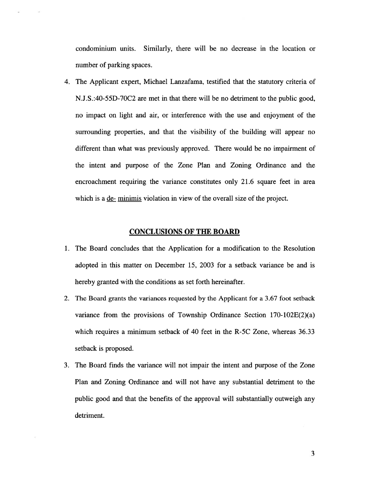condominium units. Similarly, there will be no decrease in the location or number of parking spaces.

4. The Applicant expert, Michael Lanzafama, testified that the statutory criteria of N.J.S. :40-55D-70C2 are met in that there will be no detriment to the public good, no impact on light and air, or interference with the use and enjoyment of the surrounding properties, and that the visibility of the building will appear no different than what was previously approved. There would be no impairment of the intent and purpose of the Zone Plan and Zoning Ordinance and the encroachment requiring the variance constitutes only 21.6 square feet in area which is a <u>de- minimis</u> violation in view of the overall size of the project.

## CONCLUSIONS OF THE BOARD

- 1. The Board concludes that the Application for <sup>a</sup> modification to the Resolution adopted in this matter on December 15, 2003 for <sup>a</sup> setback variance be and is hereby granted with the conditions as set forth hereinafter.
- 2. The Board grants the variances requested by the Applicant for <sup>a</sup> 3.67 foot setback variance from the provisions of Township Ordinance Section  $170-102E(2)(a)$ which requires <sup>a</sup> minimum setback of 40 feet in the R-5C Zone, whereas 36.33 setback is proposed.
- 3. The Board finds the variance will not impair the intent and purpose of the Zone Plan and Zoning Ordinance and will not have any substantial detriment to the public good and that the benefits of the approval will substantially outweigh any detriment.